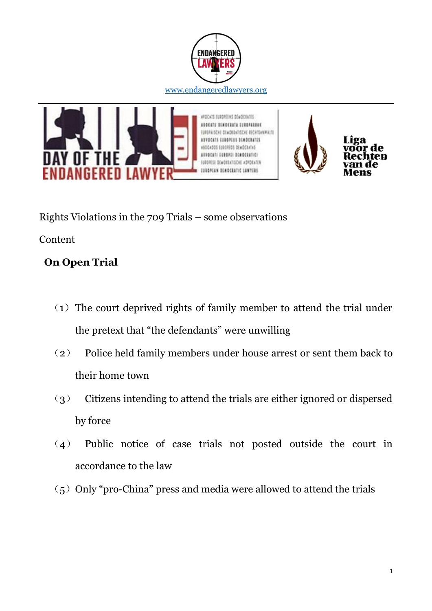





Rights Violations in the 709 Trials – some observations

Content

### **On Open Trial**

- $(1)$  The court deprived rights of family member to attend the trial under the pretext that "the defendants" were unwilling
- (2) Police held family members under house arrest or sent them back to their home town
- (3) Citizens intending to attend the trials are either ignored or dispersed by force
- (4) Public notice of case trials not posted outside the court in accordance to the law
- $(5)$  Only "pro-China" press and media were allowed to attend the trials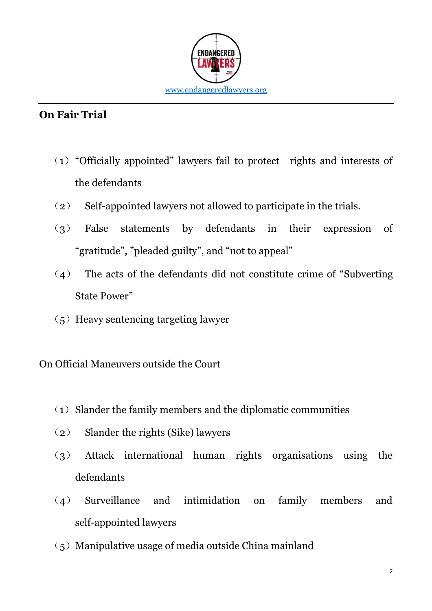

### **On Fair Trial**

- (1)"Officially appointed" lawyers fail to protect rights and interests of the defendants
- (2) Self-appointed lawyers not allowed to participate in the trials.
- (3) False statements by defendants in their expression of "gratitude", "pleaded guilty", and "not to appeal"
- (4) The acts of the defendants did not constitute crime of "Subverting State Power"
- $(5)$  Heavy sentencing targeting lawyer

On Official Maneuvers outside the Court

- $(1)$  Slander the family members and the diplomatic communities
- (2) Slander the rights (Sike) lawyers
- (3) Attack international human rights organisations using the defendants
- (4) Surveillance and intimidation on family members and self-appointed lawyers
- $(5)$  Manipulative usage of media outside China mainland

2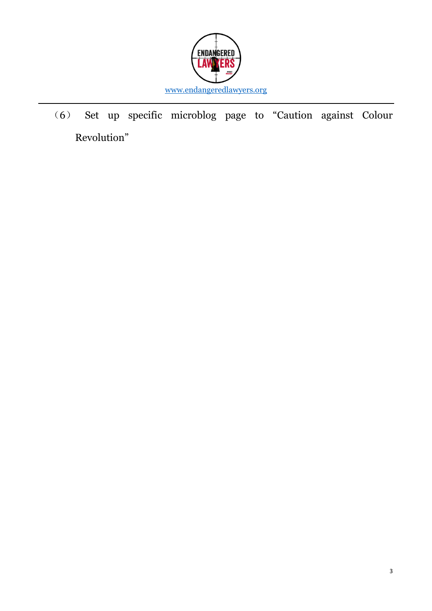

(6) Set up specific microblog page to "Caution against Colour Revolution"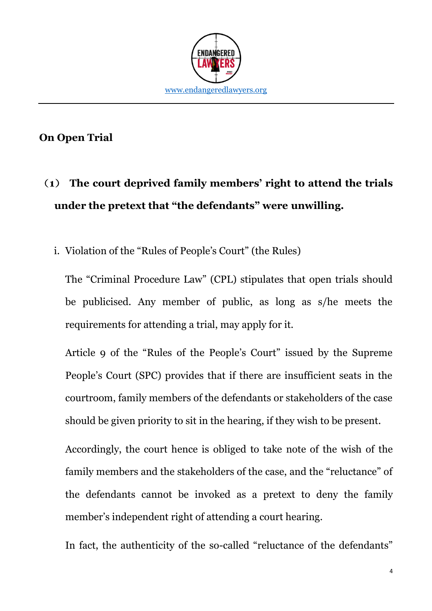

#### **On Open Trial**

# (**1**) **The court deprived family members' right to attend the trials under the pretext that "the defendants" were unwilling.**

i. Violation of the "Rules of People's Court" (the Rules)

The "Criminal Procedure Law" (CPL) stipulates that open trials should be publicised. Any member of public, as long as s/he meets the requirements for attending a trial, may apply for it.

Article 9 of the "Rules of the People's Court" issued by the Supreme People's Court (SPC) provides that if there are insufficient seats in the courtroom, family members of the defendants or stakeholders of the case should be given priority to sit in the hearing, if they wish to be present.

Accordingly, the court hence is obliged to take note of the wish of the family members and the stakeholders of the case, and the "reluctance" of the defendants cannot be invoked as a pretext to deny the family member's independent right of attending a court hearing.

In fact, the authenticity of the so-called "reluctance of the defendants"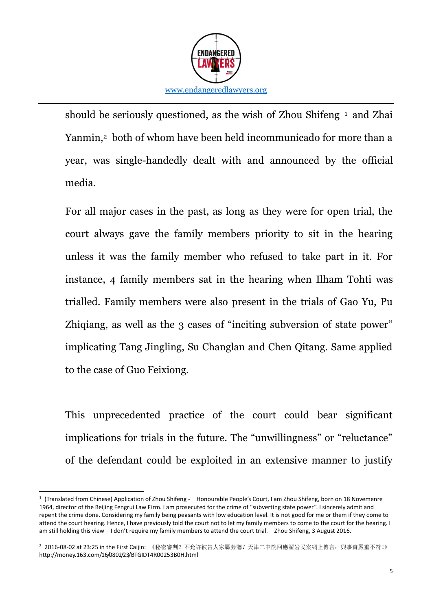

should be seriously questioned, as the wish of Zhou Shifeng <sup>1</sup> and Zhai Yanmin,<sup>2</sup> both of whom have been held incommunicado for more than a year, was single-handedly dealt with and announced by the official media.

For all major cases in the past, as long as they were for open trial, the court always gave the family members priority to sit in the hearing unless it was the family member who refused to take part in it. For instance, 4 family members sat in the hearing when Ilham Tohti was trialled. Family members were also present in the trials of Gao Yu, Pu Zhiqiang, as well as the 3 cases of "inciting subversion of state power" implicating Tang Jingling, Su Changlan and Chen Qitang. Same applied to the case of Guo Feixiong.

This unprecedented practice of the court could bear significant implications for trials in the future. The "unwillingness" or "reluctance" of the defendant could be exploited in an extensive manner to justify

<sup>-</sup>1 (Translated from Chinese) Application of Zhou Shifeng - Honourable People's Court, I am Zhou Shifeng, born on 18 Novemenre 1964, director of the Beijing Fengrui Law Firm. I am prosecuted for the crime of "subverting state power". I sincerely admit and repent the crime done. Considering my family being peasants with low education level. It is not good for me or them if they come to attend the court hearing. Hence, I have previously told the court not to let my family members to come to the court for the hearing. I am still holding this view – I don't require my family members to attend the court trial. Zhou Shifeng, 3 August 2016.

<sup>2 2016-08-02</sup> at 23:25 in the First Caijin: 《秘密審判? 不允許被告人家屬旁聽? 天津二中院回應翟岩民案網上傳言: 與事實嚴重不符!》 http://money.163.com/16/0802/23/BTGIDT4R00253B0H.html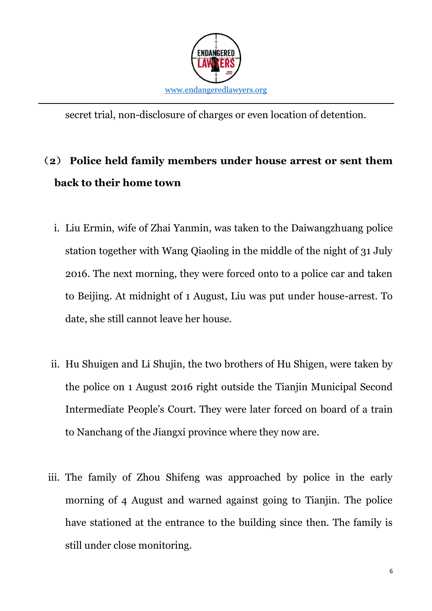

secret trial, non-disclosure of charges or even location of detention.

### (**2**) **Police held family members under house arrest or sent them back to their home town**

- i. Liu Ermin, wife of Zhai Yanmin, was taken to the Daiwangzhuang police station together with Wang Qiaoling in the middle of the night of 31 July 2016. The next morning, they were forced onto to a police car and taken to Beijing. At midnight of 1 August, Liu was put under house-arrest. To date, she still cannot leave her house.
- ii. Hu Shuigen and Li Shujin, the two brothers of Hu Shigen, were taken by the police on 1 August 2016 right outside the Tianjin Municipal Second Intermediate People's Court. They were later forced on board of a train to Nanchang of the Jiangxi province where they now are.
- iii. The family of Zhou Shifeng was approached by police in the early morning of 4 August and warned against going to Tianjin. The police have stationed at the entrance to the building since then. The family is still under close monitoring.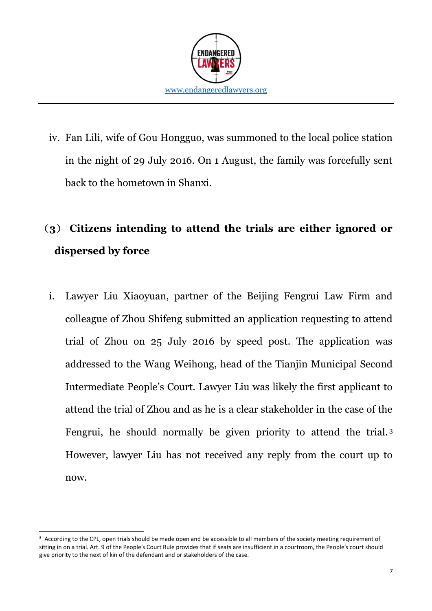

iv. Fan Lili, wife of Gou Hongguo, was summoned to the local police station in the night of 29 July 2016. On 1 August, the family was forcefully sent back to the hometown in Shanxi.

## (**3**) **Citizens intending to attend the trials are either ignored or dispersed by force**

i. Lawyer Liu Xiaoyuan, partner of the Beijing Fengrui Law Firm and colleague of Zhou Shifeng submitted an application requesting to attend trial of Zhou on 25 July 2016 by speed post. The application was addressed to the Wang Weihong, head of the Tianjin Municipal Second Intermediate People's Court. Lawyer Liu was likely the first applicant to attend the trial of Zhou and as he is a clear stakeholder in the case of the Fengrui, he should normally be given priority to attend the trial. <sup>3</sup> However, lawyer Liu has not received any reply from the court up to now.

-

<sup>&</sup>lt;sup>3</sup> According to the CPL, open trials should be made open and be accessible to all members of the society meeting requirement of sitting in on a trial. Art. 9 of the People's Court Rule provides that if seats are insufficient in a courtroom, the People's court should give priority to the next of kin of the defendant and or stakeholders of the case.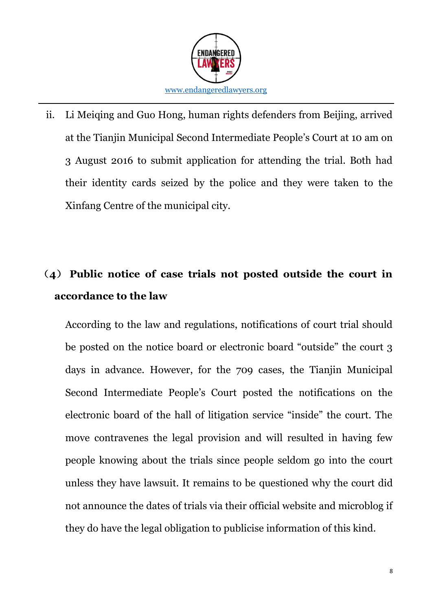

ii. Li Meiqing and Guo Hong, human rights defenders from Beijing, arrived at the Tianjin Municipal Second Intermediate People's Court at 10 am on 3 August 2016 to submit application for attending the trial. Both had their identity cards seized by the police and they were taken to the Xinfang Centre of the municipal city.

### (**4**) **Public notice of case trials not posted outside the court in accordance to the law**

According to the law and regulations, notifications of court trial should be posted on the notice board or electronic board "outside" the court 3 days in advance. However, for the 709 cases, the Tianjin Municipal Second Intermediate People's Court posted the notifications on the electronic board of the hall of litigation service "inside" the court. The move contravenes the legal provision and will resulted in having few people knowing about the trials since people seldom go into the court unless they have lawsuit. It remains to be questioned why the court did not announce the dates of trials via their official website and microblog if they do have the legal obligation to publicise information of this kind.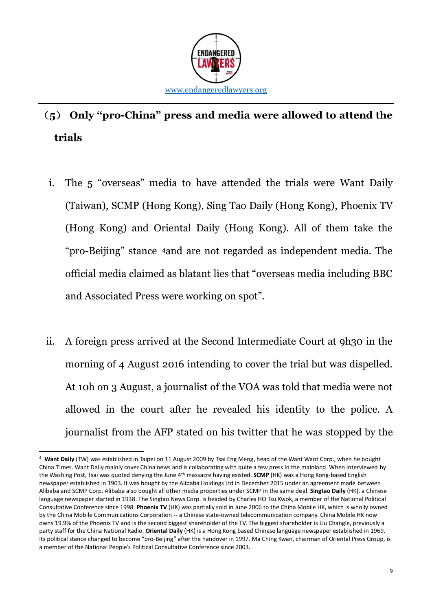

## (**5**) **Only "pro-China" press and media were allowed to attend the trials**

- i. The 5 "overseas" media to have attended the trials were Want Daily (Taiwan), SCMP (Hong Kong), Sing Tao Daily (Hong Kong), Phoenix TV (Hong Kong) and Oriental Daily (Hong Kong). All of them take the "pro-Beijing" stance 4and are not regarded as independent media. The official media claimed as blatant lies that "overseas media including BBC and Associated Press were working on spot".
- ii. A foreign press arrived at the Second Intermediate Court at 9h30 in the morning of 4 August 2016 intending to cover the trial but was dispelled. At 10h on 3 August, a journalist of the VOA was told that media were not allowed in the court after he revealed his identity to the police. A journalist from the AFP stated on his twitter that he was stopped by the

-

<sup>4</sup> **Want Daily** (TW) was established in Taipei on 11 August 2009 by Tsai Eng Meng, head of the Want Want Corp., when he bought China Times. Want Daily mainly cover China news and is collaborating with quite a few press in the mainland. When interviewed by the Washing Post, Tsai was quoted denying the June 4th massacre having existed. **SCMP** (HK) was a Hong Kong-based English newspaper established in 1903. It was bought by the Alibaba Holdings Ltd in December 2015 under an agreement made between Alibaba and SCMP Corp. Alibaba also bought all other media properties under SCMP in the same deal. **Singtao Daily** (HK), a Chinese language newspaper started in 1938. The Singtao News Corp. is headed by Charles HO Tsu Kwok, a member of the National Political Consultative Conference since 1998. **Phoenix TV** (HK) was partially sold in June 2006 to the China Mobile HK, which is wholly owned by the China Mobile Communications Corporation -- a Chinese state-owned telecommunication company. China Mobile HK now owns 19.9% of the Phoenix TV and is the second biggest shareholder of the TV. The biggest shareholder is Liu Changle, previously a party staff for the China National Radio. **Oriental Daily** (HK) is a Hong Kong based Chinese language newspaper established in 1969. Its political stance changed to become "pro-Beijing" after the handover in 1997. Ma Ching Kwan, chairman of Oriental Press Group, is a member of the National People's Political Consultative Conference since 2003.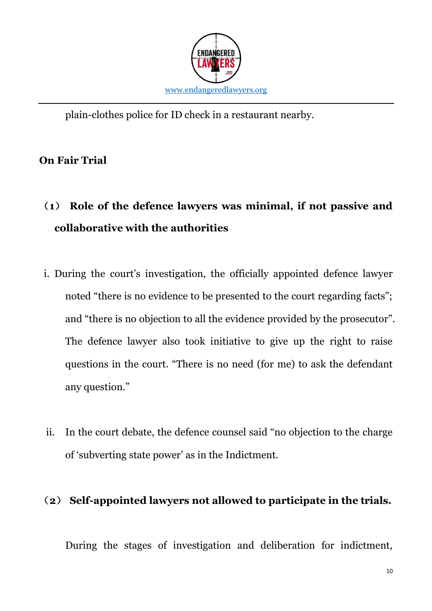

plain-clothes police for ID check in a restaurant nearby.

### **On Fair Trial**

# (**1**) **Role of the defence lawyers was minimal, if not passive and collaborative with the authorities**

- i. During the court's investigation, the officially appointed defence lawyer noted "there is no evidence to be presented to the court regarding facts"; and "there is no objection to all the evidence provided by the prosecutor". The defence lawyer also took initiative to give up the right to raise questions in the court. "There is no need (for me) to ask the defendant any question."
- ii. In the court debate, the defence counsel said "no objection to the charge of 'subverting state power' as in the Indictment.

#### (**2**) **Self-appointed lawyers not allowed to participate in the trials.**

During the stages of investigation and deliberation for indictment,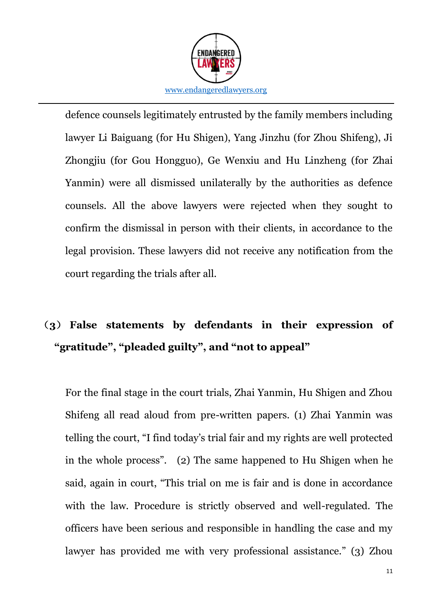

defence counsels legitimately entrusted by the family members including lawyer Li Baiguang (for Hu Shigen), Yang Jinzhu (for Zhou Shifeng), Ji Zhongjiu (for Gou Hongguo), Ge Wenxiu and Hu Linzheng (for Zhai Yanmin) were all dismissed unilaterally by the authorities as defence counsels. All the above lawyers were rejected when they sought to confirm the dismissal in person with their clients, in accordance to the legal provision. These lawyers did not receive any notification from the court regarding the trials after all.

## (**3**) **False statements by defendants in their expression of "gratitude", "pleaded guilty", and "not to appeal"**

For the final stage in the court trials, Zhai Yanmin, Hu Shigen and Zhou Shifeng all read aloud from pre-written papers. (1) Zhai Yanmin was telling the court, "I find today's trial fair and my rights are well protected in the whole process". (2) The same happened to Hu Shigen when he said, again in court, "This trial on me is fair and is done in accordance with the law. Procedure is strictly observed and well-regulated. The officers have been serious and responsible in handling the case and my lawyer has provided me with very professional assistance." (3) Zhou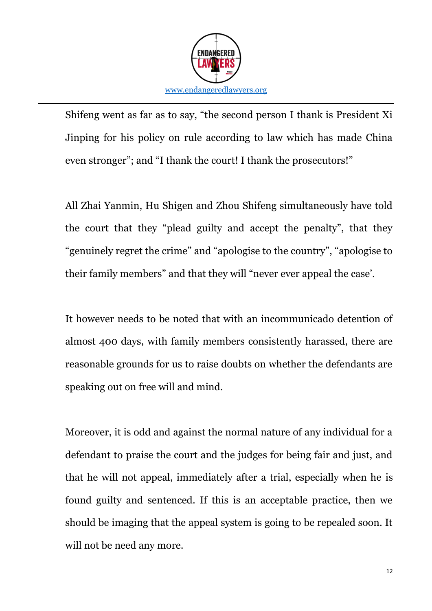

Shifeng went as far as to say, "the second person I thank is President Xi Jinping for his policy on rule according to law which has made China even stronger"; and "I thank the court! I thank the prosecutors!"

All Zhai Yanmin, Hu Shigen and Zhou Shifeng simultaneously have told the court that they "plead guilty and accept the penalty", that they "genuinely regret the crime" and "apologise to the country", "apologise to their family members" and that they will "never ever appeal the case'.

It however needs to be noted that with an incommunicado detention of almost 400 days, with family members consistently harassed, there are reasonable grounds for us to raise doubts on whether the defendants are speaking out on free will and mind.

Moreover, it is odd and against the normal nature of any individual for a defendant to praise the court and the judges for being fair and just, and that he will not appeal, immediately after a trial, especially when he is found guilty and sentenced. If this is an acceptable practice, then we should be imaging that the appeal system is going to be repealed soon. It will not be need any more.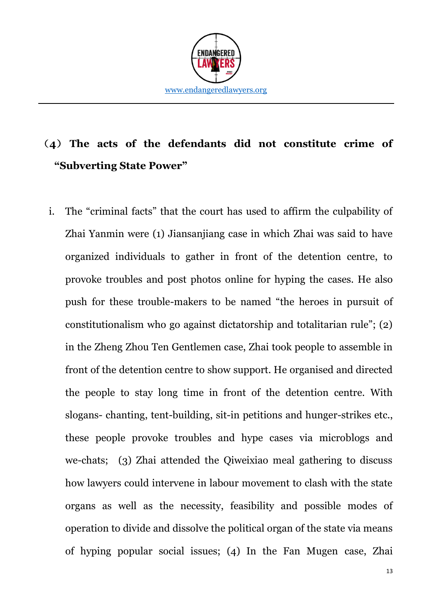

## (**4**) **The acts of the defendants did not constitute crime of "Subverting State Power"**

i. The "criminal facts" that the court has used to affirm the culpability of Zhai Yanmin were (1) Jiansanjiang case in which Zhai was said to have organized individuals to gather in front of the detention centre, to provoke troubles and post photos online for hyping the cases. He also push for these trouble-makers to be named "the heroes in pursuit of constitutionalism who go against dictatorship and totalitarian rule"; (2) in the Zheng Zhou Ten Gentlemen case, Zhai took people to assemble in front of the detention centre to show support. He organised and directed the people to stay long time in front of the detention centre. With slogans- chanting, tent-building, sit-in petitions and hunger-strikes etc., these people provoke troubles and hype cases via microblogs and we-chats; (3) Zhai attended the Qiweixiao meal gathering to discuss how lawyers could intervene in labour movement to clash with the state organs as well as the necessity, feasibility and possible modes of operation to divide and dissolve the political organ of the state via means of hyping popular social issues; (4) In the Fan Mugen case, Zhai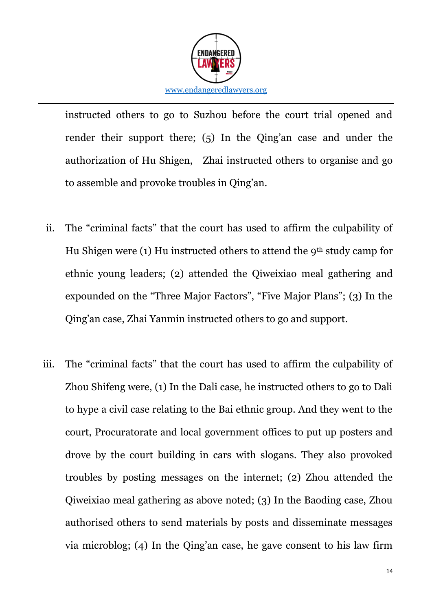

instructed others to go to Suzhou before the court trial opened and render their support there; (5) In the Qing'an case and under the authorization of Hu Shigen, Zhai instructed others to organise and go to assemble and provoke troubles in Qing'an.

- ii. The "criminal facts" that the court has used to affirm the culpability of Hu Shigen were (1) Hu instructed others to attend the  $9<sup>th</sup>$  study camp for ethnic young leaders; (2) attended the Qiweixiao meal gathering and expounded on the "Three Major Factors", "Five Major Plans"; (3) In the Qing'an case, Zhai Yanmin instructed others to go and support.
- iii. The "criminal facts" that the court has used to affirm the culpability of Zhou Shifeng were, (1) In the Dali case, he instructed others to go to Dali to hype a civil case relating to the Bai ethnic group. And they went to the court, Procuratorate and local government offices to put up posters and drove by the court building in cars with slogans. They also provoked troubles by posting messages on the internet; (2) Zhou attended the Qiweixiao meal gathering as above noted; (3) In the Baoding case, Zhou authorised others to send materials by posts and disseminate messages via microblog; (4) In the Qing'an case, he gave consent to his law firm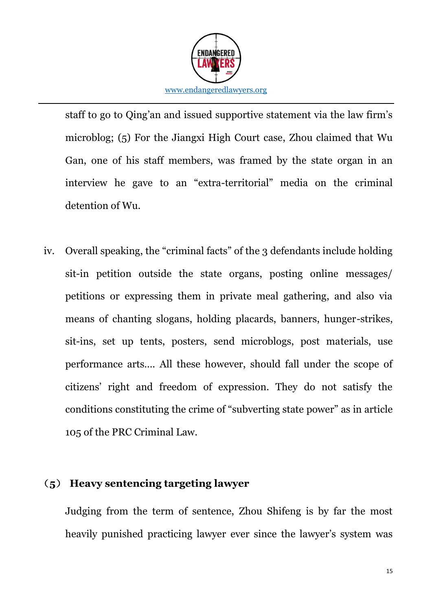

staff to go to Qing'an and issued supportive statement via the law firm's microblog; (5) For the Jiangxi High Court case, Zhou claimed that Wu Gan, one of his staff members, was framed by the state organ in an interview he gave to an "extra-territorial" media on the criminal detention of Wu.

iv. Overall speaking, the "criminal facts" of the 3 defendants include holding sit-in petition outside the state organs, posting online messages/ petitions or expressing them in private meal gathering, and also via means of chanting slogans, holding placards, banners, hunger-strikes, sit-ins, set up tents, posters, send microblogs, post materials, use performance arts…. All these however, should fall under the scope of citizens' right and freedom of expression. They do not satisfy the conditions constituting the crime of "subverting state power" as in article 105 of the PRC Criminal Law.

#### (**5**) **Heavy sentencing targeting lawyer**

Judging from the term of sentence, Zhou Shifeng is by far the most heavily punished practicing lawyer ever since the lawyer's system was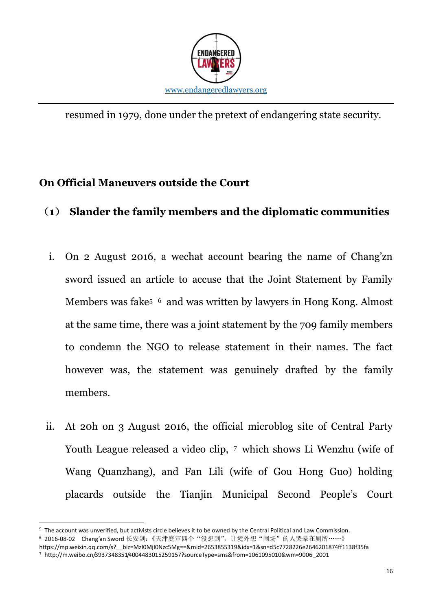

resumed in 1979, done under the pretext of endangering state security.

### **On Official Maneuvers outside the Court**

### (**1**) **Slander the family members and the diplomatic communities**

- i. On 2 August 2016, a wechat account bearing the name of Chang'zn sword issued an article to accuse that the Joint Statement by Family Members was fake<sup>5</sup> 6 and was written by lawyers in Hong Kong. Almost at the same time, there was a joint statement by the 709 family members to condemn the NGO to release statement in their names. The fact however was, the statement was genuinely drafted by the family members.
- ii. At 20h on 3 August 2016, the official microblog site of Central Party Youth League released a video clip, 7 which shows Li Wenzhu (wife of Wang Quanzhang), and Fan Lili (wife of Gou Hong Guo) holding placards outside the Tianjin Municipal Second People's Court

**.** 

<sup>5</sup> The account was unverified, but activists circle believes it to be owned by the Central Political and Law Commission. 6 2016-08-02 Chang'an Sword 长安剑:《天津庭审四个"没想到",让境外想"闹场"的人哭晕在厕所……》

https://mp.weixin.qq.com/s?\_\_biz=MzI0MjI0Nzc5Mg==&mid=2653855319&idx=1&sn=d5c7728226e2646201874ff1138f35fa

<sup>7</sup> http://m.weibo.cn/3937348351/4004483015259157?sourceType=sms&from=1061095010&wm=9006\_2001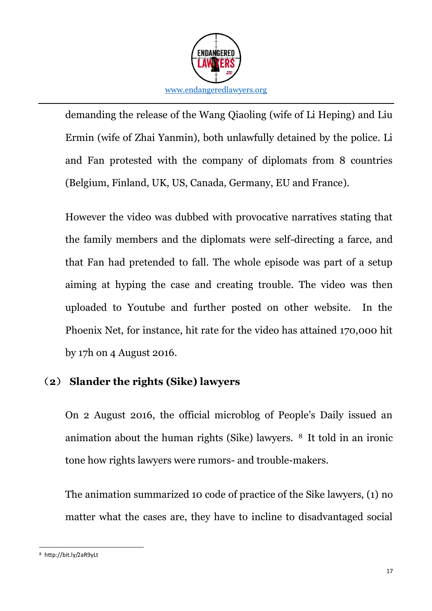

demanding the release of the Wang Qiaoling (wife of Li Heping) and Liu Ermin (wife of Zhai Yanmin), both unlawfully detained by the police. Li and Fan protested with the company of diplomats from 8 countries (Belgium, Finland, UK, US, Canada, Germany, EU and France).

However the video was dubbed with provocative narratives stating that the family members and the diplomats were self-directing a farce, and that Fan had pretended to fall. The whole episode was part of a setup aiming at hyping the case and creating trouble. The video was then uploaded to Youtube and further posted on other website. In the Phoenix Net, for instance, hit rate for the video has attained 170,000 hit by 17h on 4 August 2016.

#### (**2**) **Slander the rights (Sike) lawyers**

On 2 August 2016, the official microblog of People's Daily issued an animation about the human rights (Sike) lawyers. <sup>8</sup> It told in an ironic tone how rights lawyers were rumors- and trouble-makers.

The animation summarized 10 code of practice of the Sike lawyers, (1) no matter what the cases are, they have to incline to disadvantaged social

<sup>-</sup><sup>8</sup> http://bit.ly/2aR9yLt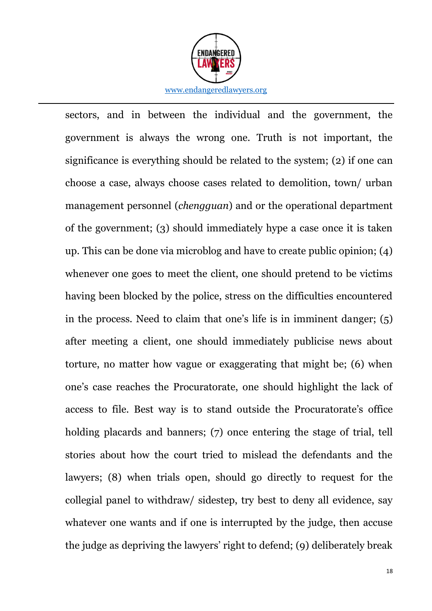

sectors, and in between the individual and the government, the government is always the wrong one. Truth is not important, the significance is everything should be related to the system; (2) if one can choose a case, always choose cases related to demolition, town/ urban management personnel (*chengguan*) and or the operational department of the government; (3) should immediately hype a case once it is taken up. This can be done via microblog and have to create public opinion; (4) whenever one goes to meet the client, one should pretend to be victims having been blocked by the police, stress on the difficulties encountered in the process. Need to claim that one's life is in imminent danger; (5) after meeting a client, one should immediately publicise news about torture, no matter how vague or exaggerating that might be; (6) when one's case reaches the Procuratorate, one should highlight the lack of access to file. Best way is to stand outside the Procuratorate's office holding placards and banners; (7) once entering the stage of trial, tell stories about how the court tried to mislead the defendants and the lawyers; (8) when trials open, should go directly to request for the collegial panel to withdraw/ sidestep, try best to deny all evidence, say whatever one wants and if one is interrupted by the judge, then accuse the judge as depriving the lawyers' right to defend; (9) deliberately break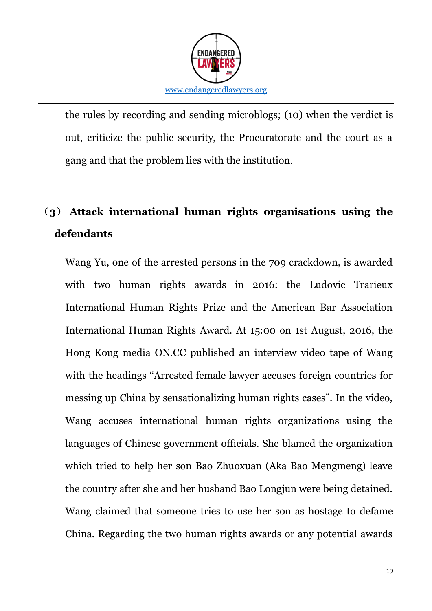

the rules by recording and sending microblogs; (10) when the verdict is out, criticize the public security, the Procuratorate and the court as a gang and that the problem lies with the institution.

### (**3**) **Attack international human rights organisations using the defendants**

Wang Yu, one of the arrested persons in the 709 crackdown, is awarded with two human rights awards in 2016: the Ludovic Trarieux International Human Rights Prize and the American Bar Association International Human Rights Award. At 15:00 on 1st August, 2016, the Hong Kong media ON.CC published an interview video tape of Wang with the headings "Arrested female lawyer accuses foreign countries for messing up China by sensationalizing human rights cases". In the video, Wang accuses international human rights organizations using the languages of Chinese government officials. She blamed the organization which tried to help her son Bao Zhuoxuan (Aka Bao Mengmeng) leave the country after she and her husband Bao Longjun were being detained. Wang claimed that someone tries to use her son as hostage to defame China. Regarding the two human rights awards or any potential awards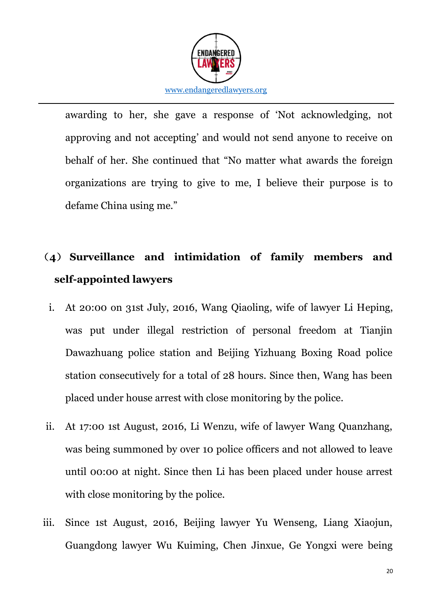

awarding to her, she gave a response of 'Not acknowledging, not approving and not accepting' and would not send anyone to receive on behalf of her. She continued that "No matter what awards the foreign organizations are trying to give to me, I believe their purpose is to defame China using me."

## (**4**) **Surveillance and intimidation of family members and self-appointed lawyers**

- i. At 20:00 on 31st July, 2016, Wang Qiaoling, wife of lawyer Li Heping, was put under illegal restriction of personal freedom at Tianjin Dawazhuang police station and Beijing Yizhuang Boxing Road police station consecutively for a total of 28 hours. Since then, Wang has been placed under house arrest with close monitoring by the police.
- ii. At 17:00 1st August, 2016, Li Wenzu, wife of lawyer Wang Quanzhang, was being summoned by over 10 police officers and not allowed to leave until 00:00 at night. Since then Li has been placed under house arrest with close monitoring by the police.
- iii. Since 1st August, 2016, Beijing lawyer Yu Wenseng, Liang Xiaojun, Guangdong lawyer Wu Kuiming, Chen Jinxue, Ge Yongxi were being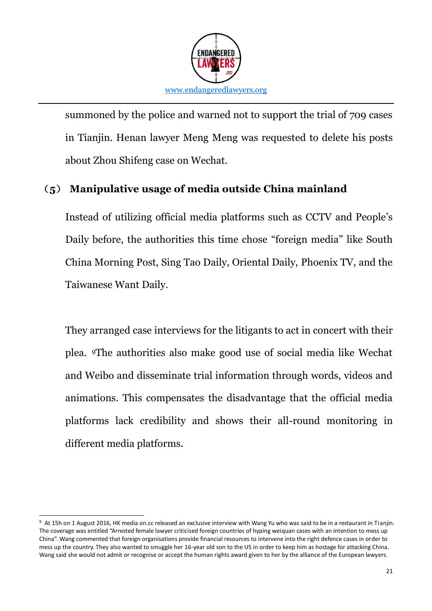

summoned by the police and warned not to support the trial of 709 cases in Tianjin. Henan lawyer Meng Meng was requested to delete his posts about Zhou Shifeng case on Wechat.

### (**5**) **Manipulative usage of media outside China mainland**

Instead of utilizing official media platforms such as CCTV and People's Daily before, the authorities this time chose "foreign media" like South China Morning Post, Sing Tao Daily, Oriental Daily, Phoenix TV, and the Taiwanese Want Daily.

They arranged case interviews for the litigants to act in concert with their plea. 9The authorities also make good use of social media like Wechat and Weibo and disseminate trial information through words, videos and animations. This compensates the disadvantage that the official media platforms lack credibility and shows their all-round monitoring in different media platforms.

<sup>-</sup>9 At 15h on 1 August 2016, HK media on.cc released an exclusive interview with Wang Yu who was said to be in a restaurant in Tianjin. The coverage was entitled "Arrested female lawyer criticised foreign countries of hyping weiquan cases with an intention to mess up China". Wang commented that foreign organisations provide financial resources to intervene into the right defence cases in order to mess up the country. They also wanted to smuggle her 16-year old son to the US in order to keep him as hostage for attacking China. Wang said she would not admit or recognise or accept the human rights award given to her by the alliance of the European lawyers.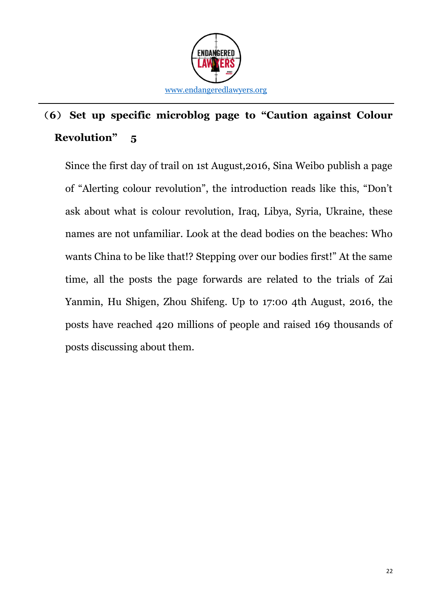

## (**6**) **Set up specific microblog page to "Caution against Colour Revolution" 5**

Since the first day of trail on 1st August,2016, Sina Weibo publish a page of "Alerting colour revolution", the introduction reads like this, "Don't ask about what is colour revolution, Iraq, Libya, Syria, Ukraine, these names are not unfamiliar. Look at the dead bodies on the beaches: Who wants China to be like that!? Stepping over our bodies first!" At the same time, all the posts the page forwards are related to the trials of Zai Yanmin, Hu Shigen, Zhou Shifeng. Up to 17:00 4th August, 2016, the posts have reached 420 millions of people and raised 169 thousands of posts discussing about them.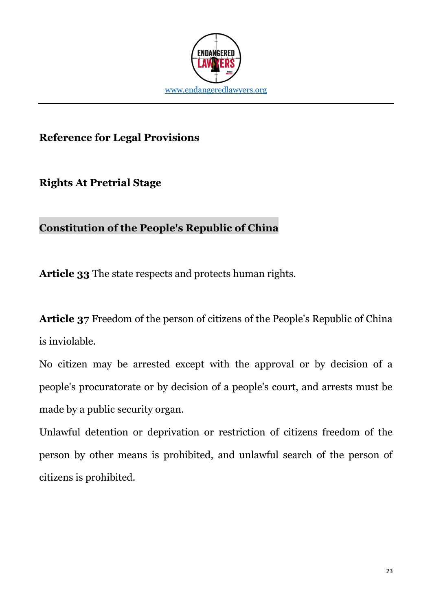

### **Reference for Legal Provisions**

**Rights At Pretrial Stage**

### **Constitution of the People's Republic of China**

**Article 33** The state respects and protects human rights.

**Article 37** Freedom of the person of citizens of the People's Republic of China is inviolable.

No citizen may be arrested except with the approval or by decision of a people's procuratorate or by decision of a people's court, and arrests must be made by a public security organ.

Unlawful detention or deprivation or restriction of citizens freedom of the person by other means is prohibited, and unlawful search of the person of citizens is prohibited.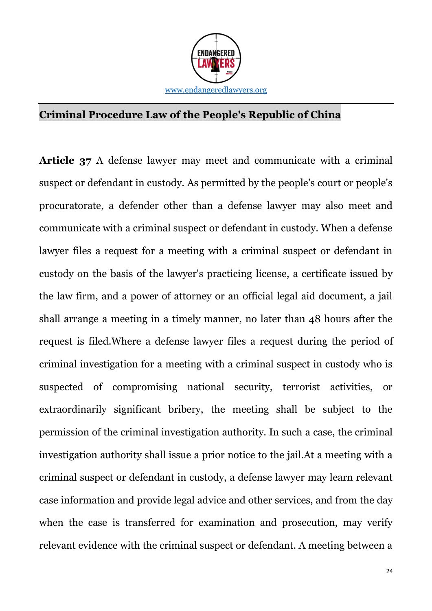

### **Criminal Procedure Law of the People's Republic of China**

**Article 37** A defense lawyer may meet and communicate with a criminal suspect or defendant in custody. As permitted by the people's court or people's procuratorate, a defender other than a defense lawyer may also meet and communicate with a criminal suspect or defendant in custody. When a defense lawyer files a request for a meeting with a criminal suspect or defendant in custody on the basis of the lawyer's practicing license, a certificate issued by the law firm, and a power of attorney or an official legal aid document, a jail shall arrange a meeting in a timely manner, no later than 48 hours after the request is filed.Where a defense lawyer files a request during the period of criminal investigation for a meeting with a criminal suspect in custody who is suspected of compromising national security, terrorist activities, or extraordinarily significant bribery, the meeting shall be subject to the permission of the criminal investigation authority. In such a case, the criminal investigation authority shall issue a prior notice to the jail.At a meeting with a criminal suspect or defendant in custody, a defense lawyer may learn relevant case information and provide legal advice and other services, and from the day when the case is transferred for examination and prosecution, may verify relevant evidence with the criminal suspect or defendant. A meeting between a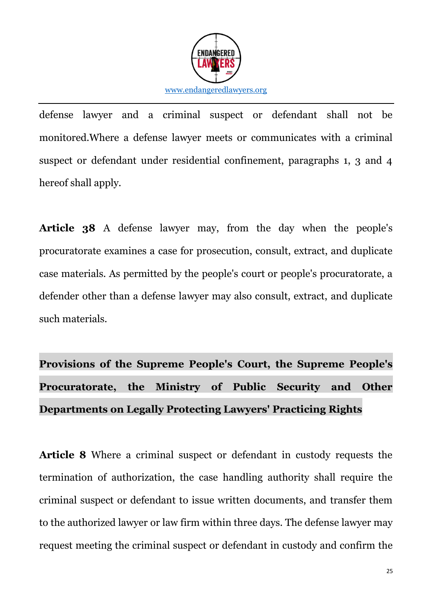

defense lawyer and a criminal suspect or defendant shall not be monitored.Where a defense lawyer meets or communicates with a criminal suspect or defendant under residential confinement, paragraphs 1, 3 and 4 hereof shall apply.

**Article 38** A defense lawyer may, from the day when the people's procuratorate examines a case for prosecution, consult, extract, and duplicate case materials. As permitted by the people's court or people's procuratorate, a defender other than a defense lawyer may also consult, extract, and duplicate such materials.

# **Provisions of the Supreme People's Court, the Supreme People's Procuratorate, the Ministry of Public Security and Other Departments on Legally Protecting Lawyers' Practicing Rights**

**Article 8** Where a criminal suspect or defendant in custody requests the termination of authorization, the case handling authority shall require the criminal suspect or defendant to issue written documents, and transfer them to the authorized lawyer or law firm within three days. The defense lawyer may request meeting the criminal suspect or defendant in custody and confirm the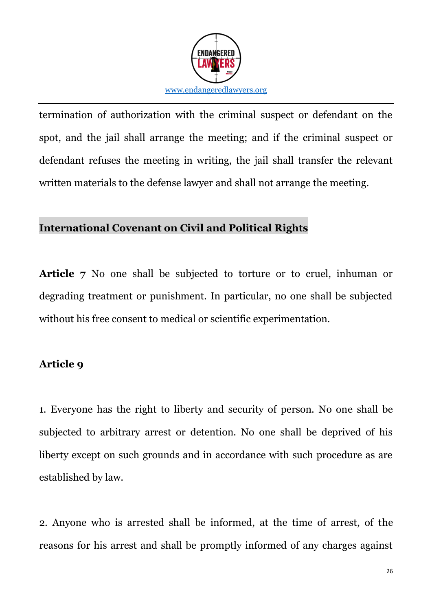

termination of authorization with the criminal suspect or defendant on the spot, and the jail shall arrange the meeting; and if the criminal suspect or defendant refuses the meeting in writing, the jail shall transfer the relevant written materials to the defense lawyer and shall not arrange the meeting.

### **International Covenant on Civil and Political Rights**

**Article 7** No one shall be subjected to torture or to cruel, inhuman or degrading treatment or punishment. In particular, no one shall be subjected without his free consent to medical or scientific experimentation.

### **Article 9**

1. Everyone has the right to liberty and security of person. No one shall be subjected to arbitrary arrest or detention. No one shall be deprived of his liberty except on such grounds and in accordance with such procedure as are established by law.

2. Anyone who is arrested shall be informed, at the time of arrest, of the reasons for his arrest and shall be promptly informed of any charges against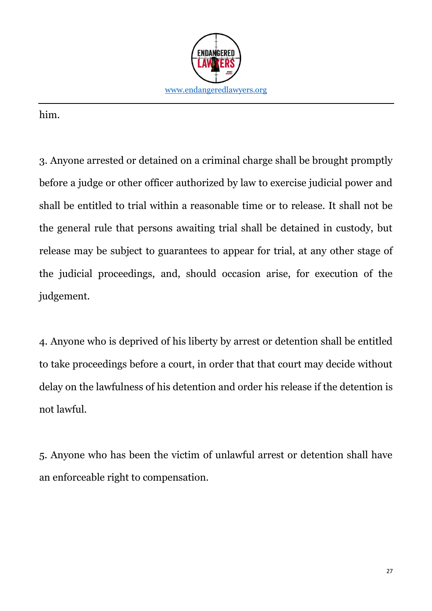

him.

3. Anyone arrested or detained on a criminal charge shall be brought promptly before a judge or other officer authorized by law to exercise judicial power and shall be entitled to trial within a reasonable time or to release. It shall not be the general rule that persons awaiting trial shall be detained in custody, but release may be subject to guarantees to appear for trial, at any other stage of the judicial proceedings, and, should occasion arise, for execution of the judgement.

4. Anyone who is deprived of his liberty by arrest or detention shall be entitled to take proceedings before a court, in order that that court may decide without delay on the lawfulness of his detention and order his release if the detention is not lawful.

5. Anyone who has been the victim of unlawful arrest or detention shall have an enforceable right to compensation.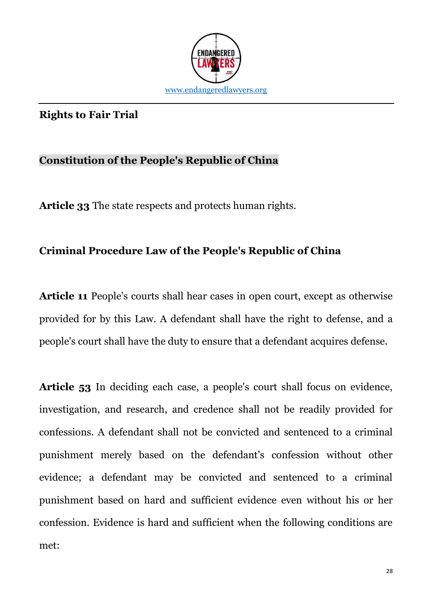

#### **Rights to Fair Trial**

#### **Constitution of the People's Republic of China**

**Article 33** The state respects and protects human rights.

### **Criminal Procedure Law of the People's Republic of China**

**Article 11** People's courts shall hear cases in open court, except as otherwise provided for by this Law. A defendant shall have the right to defense, and a people's court shall have the duty to ensure that a defendant acquires defense.

**Article 53** In deciding each case, a people's court shall focus on evidence, investigation, and research, and credence shall not be readily provided for confessions. A defendant shall not be convicted and sentenced to a criminal punishment merely based on the defendant's confession without other evidence; a defendant may be convicted and sentenced to a criminal punishment based on hard and sufficient evidence even without his or her confession. Evidence is hard and sufficient when the following conditions are met: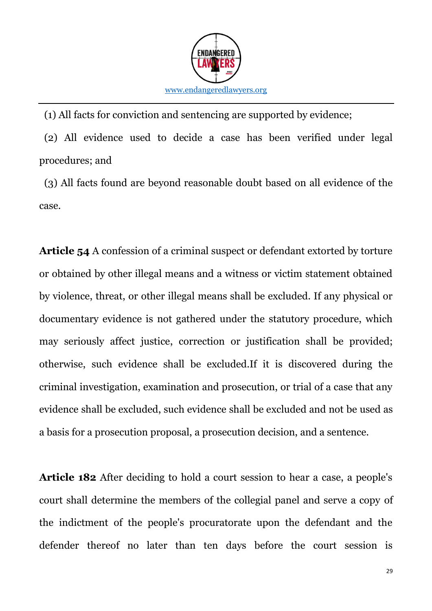

(1) All facts for conviction and sentencing are supported by evidence;

(2) All evidence used to decide a case has been verified under legal procedures; and

(3) All facts found are beyond reasonable doubt based on all evidence of the case.

**Article 54** A confession of a criminal suspect or defendant extorted by torture or obtained by other illegal means and a witness or victim statement obtained by violence, threat, or other illegal means shall be excluded. If any physical or documentary evidence is not gathered under the statutory procedure, which may seriously affect justice, correction or justification shall be provided; otherwise, such evidence shall be excluded.If it is discovered during the criminal investigation, examination and prosecution, or trial of a case that any evidence shall be excluded, such evidence shall be excluded and not be used as a basis for a prosecution proposal, a prosecution decision, and a sentence.

**Article 182** After deciding to hold a court session to hear a case, a people's court shall determine the members of the collegial panel and serve a copy of the indictment of the people's procuratorate upon the defendant and the defender thereof no later than ten days before the court session is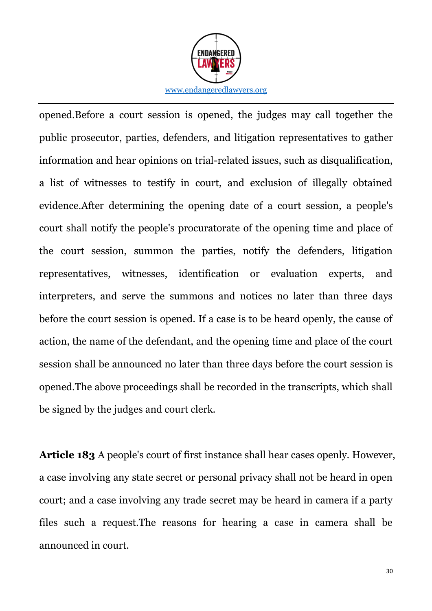

opened.Before a court session is opened, the judges may call together the public prosecutor, parties, defenders, and litigation representatives to gather information and hear opinions on trial-related issues, such as disqualification, a list of witnesses to testify in court, and exclusion of illegally obtained evidence.After determining the opening date of a court session, a people's court shall notify the people's procuratorate of the opening time and place of the court session, summon the parties, notify the defenders, litigation representatives, witnesses, identification or evaluation experts, and interpreters, and serve the summons and notices no later than three days before the court session is opened. If a case is to be heard openly, the cause of action, the name of the defendant, and the opening time and place of the court session shall be announced no later than three days before the court session is opened.The above proceedings shall be recorded in the transcripts, which shall be signed by the judges and court clerk.

**Article 183** A people's court of first instance shall hear cases openly. However, a case involving any state secret or personal privacy shall not be heard in open court; and a case involving any trade secret may be heard in camera if a party files such a request.The reasons for hearing a case in camera shall be announced in court.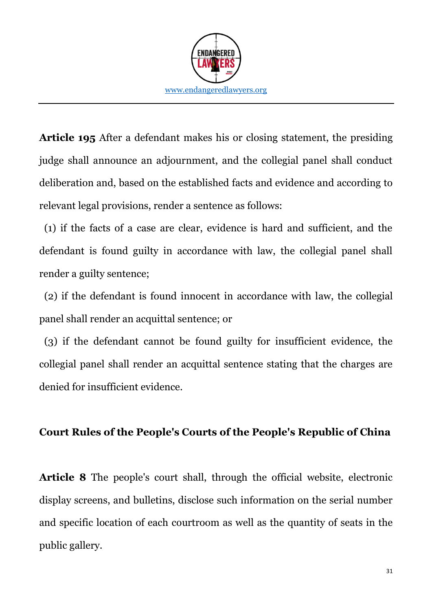

**Article 195** After a defendant makes his or closing statement, the presiding judge shall announce an adjournment, and the collegial panel shall conduct deliberation and, based on the established facts and evidence and according to relevant legal provisions, render a sentence as follows:

(1) if the facts of a case are clear, evidence is hard and sufficient, and the defendant is found guilty in accordance with law, the collegial panel shall render a guilty sentence;

(2) if the defendant is found innocent in accordance with law, the collegial panel shall render an acquittal sentence; or

(3) if the defendant cannot be found guilty for insufficient evidence, the collegial panel shall render an acquittal sentence stating that the charges are denied for insufficient evidence.

#### **Court Rules of the People's Courts of the People's Republic of China**

**Article 8** The people's court shall, through the official website, electronic display screens, and bulletins, disclose such information on the serial number and specific location of each courtroom as well as the quantity of seats in the public gallery.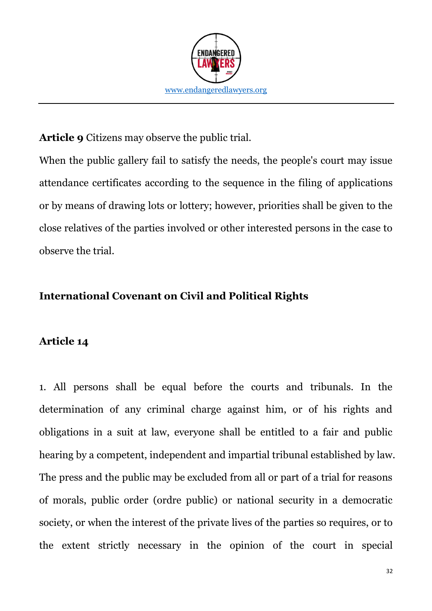

**Article 9** Citizens may observe the public trial.

When the public gallery fail to satisfy the needs, the people's court may issue attendance certificates according to the sequence in the filing of applications or by means of drawing lots or lottery; however, priorities shall be given to the close relatives of the parties involved or other interested persons in the case to observe the trial.

### **International Covenant on Civil and Political Rights**

#### **Article 14**

1. All persons shall be equal before the courts and tribunals. In the determination of any criminal charge against him, or of his rights and obligations in a suit at law, everyone shall be entitled to a fair and public hearing by a competent, independent and impartial tribunal established by law. The press and the public may be excluded from all or part of a trial for reasons of morals, public order (ordre public) or national security in a democratic society, or when the interest of the private lives of the parties so requires, or to the extent strictly necessary in the opinion of the court in special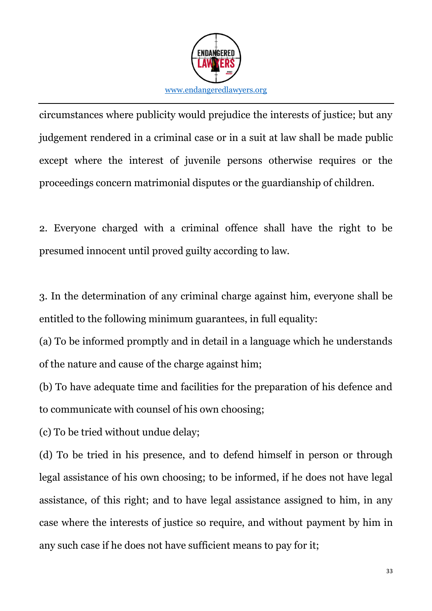

circumstances where publicity would prejudice the interests of justice; but any judgement rendered in a criminal case or in a suit at law shall be made public except where the interest of juvenile persons otherwise requires or the proceedings concern matrimonial disputes or the guardianship of children.

2. Everyone charged with a criminal offence shall have the right to be presumed innocent until proved guilty according to law.

3. In the determination of any criminal charge against him, everyone shall be entitled to the following minimum guarantees, in full equality:

(a) To be informed promptly and in detail in a language which he understands of the nature and cause of the charge against him;

(b) To have adequate time and facilities for the preparation of his defence and to communicate with counsel of his own choosing;

(c) To be tried without undue delay;

(d) To be tried in his presence, and to defend himself in person or through legal assistance of his own choosing; to be informed, if he does not have legal assistance, of this right; and to have legal assistance assigned to him, in any case where the interests of justice so require, and without payment by him in any such case if he does not have sufficient means to pay for it;